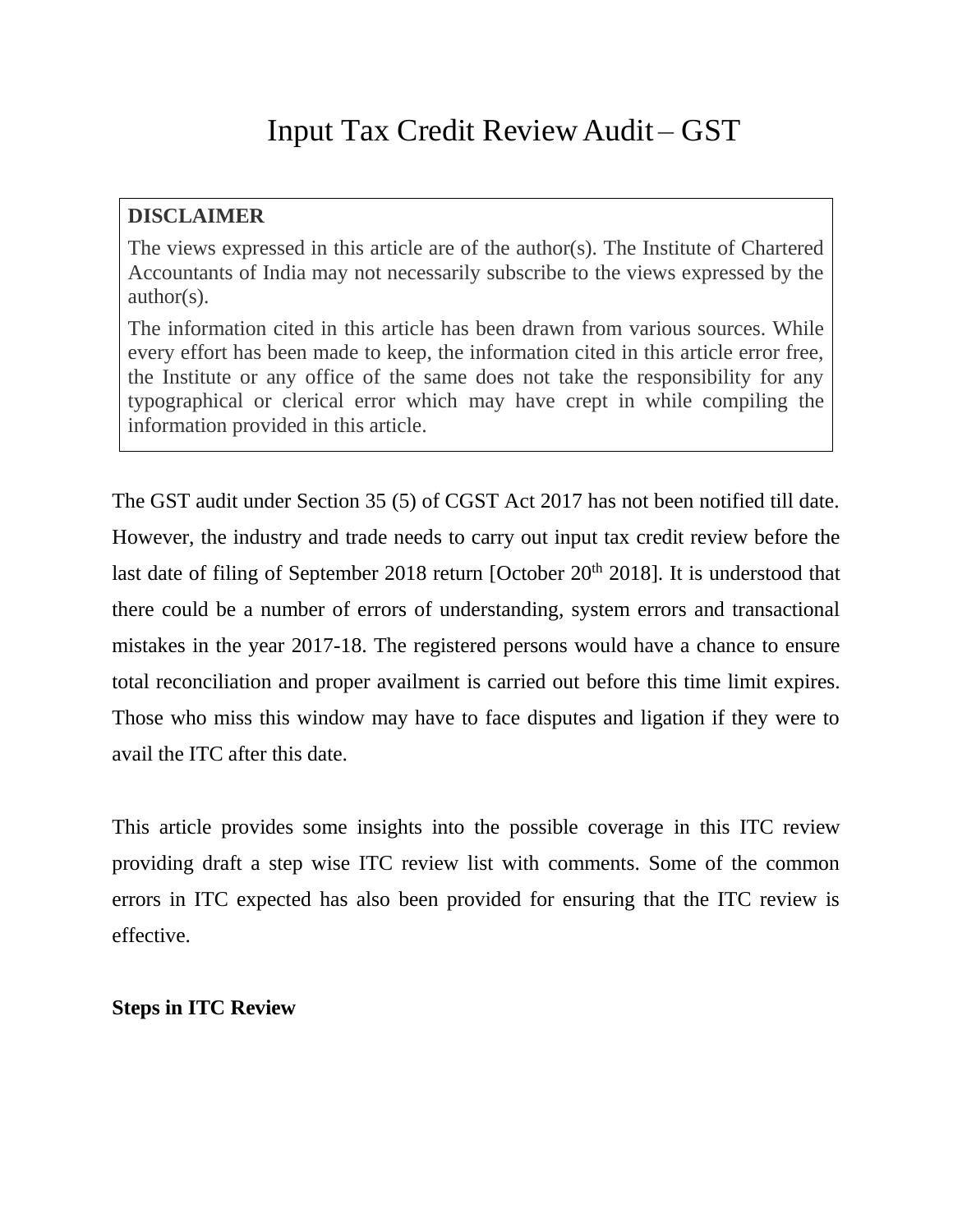#### **DISCLAIMER**

The views expressed in this article are of the author(s). The Institute of Chartered Accountants of India may not necessarily subscribe to the views expressed by the author(s).

The information cited in this article has been drawn from various sources. While every effort has been made to keep, the information cited in this article error free, the Institute or any office of the same does not take the responsibility for any typographical or clerical error which may have crept in while compiling the information provided in this article.

The GST audit under Section 35 (5) of CGST Act 2017 has not been notified till date. However, the industry and trade needs to carry out input tax credit review before the last date of filing of September 2018 return [October 20<sup>th</sup> 2018]. It is understood that there could be a number of errors of understanding, system errors and transactional mistakes in the year 2017-18. The registered persons would have a chance to ensure total reconciliation and proper availment is carried out before this time limit expires. Those who miss this window may have to face disputes and ligation if they were to avail the ITC after this date.

This article provides some insights into the possible coverage in this ITC review providing draft a step wise ITC review list with comments. Some of the common errors in ITC expected has also been provided for ensuring that the ITC review is effective.

### **Steps in ITC Review**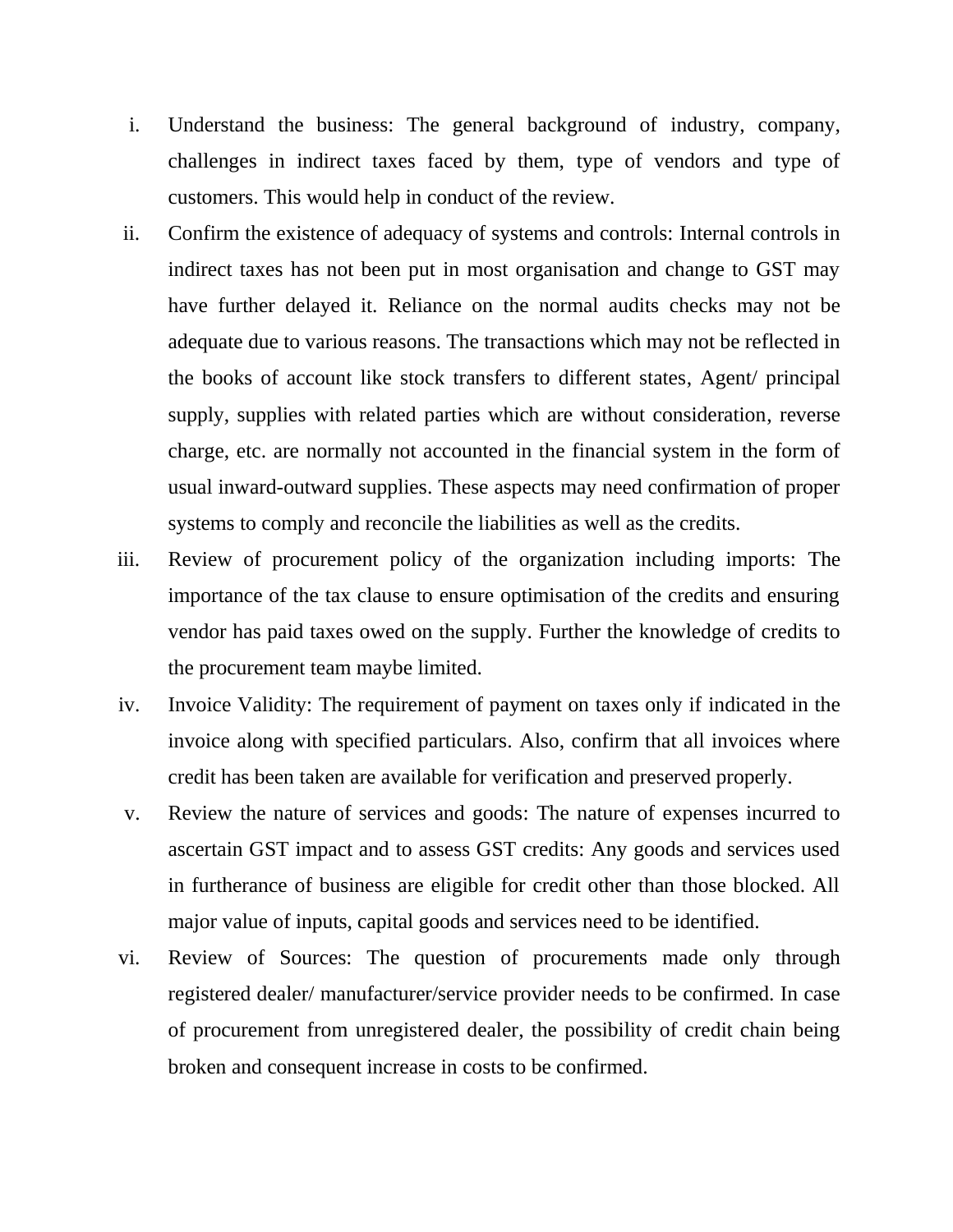- i. Understand the business: The general background of industry, company, challenges in indirect taxes faced by them, type of vendors and type of customers. This would help in conduct of the review.
- ii. Confirm the existence of adequacy of systems and controls: Internal controls in indirect taxes has not been put in most organisation and change to GST may have further delayed it. Reliance on the normal audits checks may not be adequate due to various reasons. The transactions which may not be reflected in the books of account like stock transfers to different states, Agent/ principal supply, supplies with related parties which are without consideration, reverse charge, etc. are normally not accounted in the financial system in the form of usual inward-outward supplies. These aspects may need confirmation of proper systems to comply and reconcile the liabilities as well as the credits.
- iii. Review of procurement policy of the organization including imports: The importance of the tax clause to ensure optimisation of the credits and ensuring vendor has paid taxes owed on the supply. Further the knowledge of credits to the procurement team maybe limited.
- iv. Invoice Validity: The requirement of payment on taxes only if indicated in the invoice along with specified particulars. Also, confirm that all invoices where credit has been taken are available for verification and preserved properly.
- v. Review the nature of services and goods: The nature of expenses incurred to ascertain GST impact and to assess GST credits: Any goods and services used in furtherance of business are eligible for credit other than those blocked. All major value of inputs, capital goods and services need to be identified.
- vi. Review of Sources: The question of procurements made only through registered dealer/ manufacturer/service provider needs to be confirmed. In case of procurement from unregistered dealer, the possibility of credit chain being broken and consequent increase in costs to be confirmed.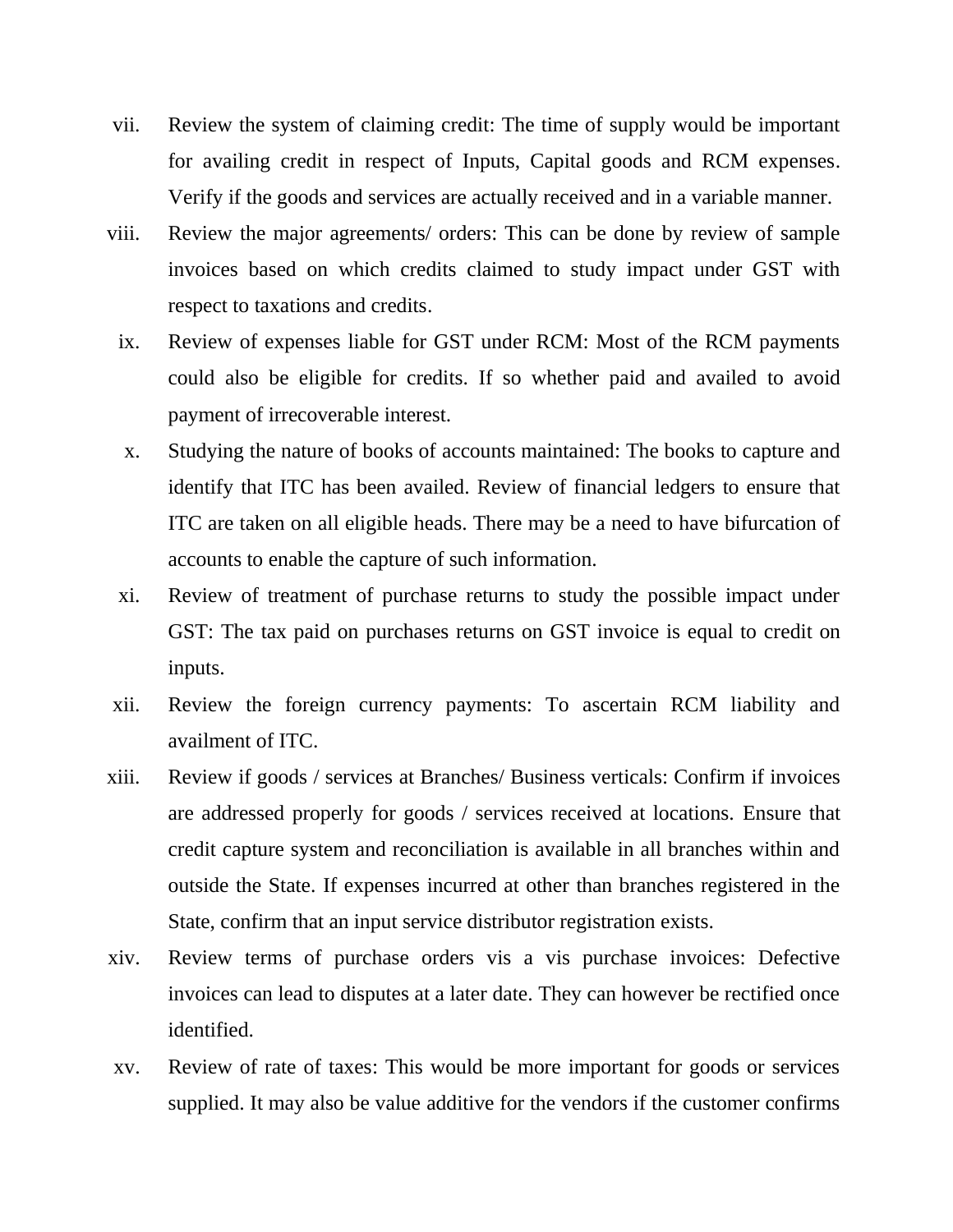- vii. Review the system of claiming credit: The time of supply would be important for availing credit in respect of Inputs, Capital goods and RCM expenses. Verify if the goods and services are actually received and in a variable manner.
- viii. Review the major agreements/ orders: This can be done by review of sample invoices based on which credits claimed to study impact under GST with respect to taxations and credits.
	- ix. Review of expenses liable for GST under RCM: Most of the RCM payments could also be eligible for credits. If so whether paid and availed to avoid payment of irrecoverable interest.
	- x. Studying the nature of books of accounts maintained: The books to capture and identify that ITC has been availed. Review of financial ledgers to ensure that ITC are taken on all eligible heads. There may be a need to have bifurcation of accounts to enable the capture of such information.
	- xi. Review of treatment of purchase returns to study the possible impact under GST: The tax paid on purchases returns on GST invoice is equal to credit on inputs.
- xii. Review the foreign currency payments: To ascertain RCM liability and availment of ITC.
- xiii. Review if goods / services at Branches/ Business verticals: Confirm if invoices are addressed properly for goods / services received at locations. Ensure that credit capture system and reconciliation is available in all branches within and outside the State. If expenses incurred at other than branches registered in the State, confirm that an input service distributor registration exists.
- xiv. Review terms of purchase orders vis a vis purchase invoices: Defective invoices can lead to disputes at a later date. They can however be rectified once identified.
- xv. Review of rate of taxes: This would be more important for goods or services supplied. It may also be value additive for the vendors if the customer confirms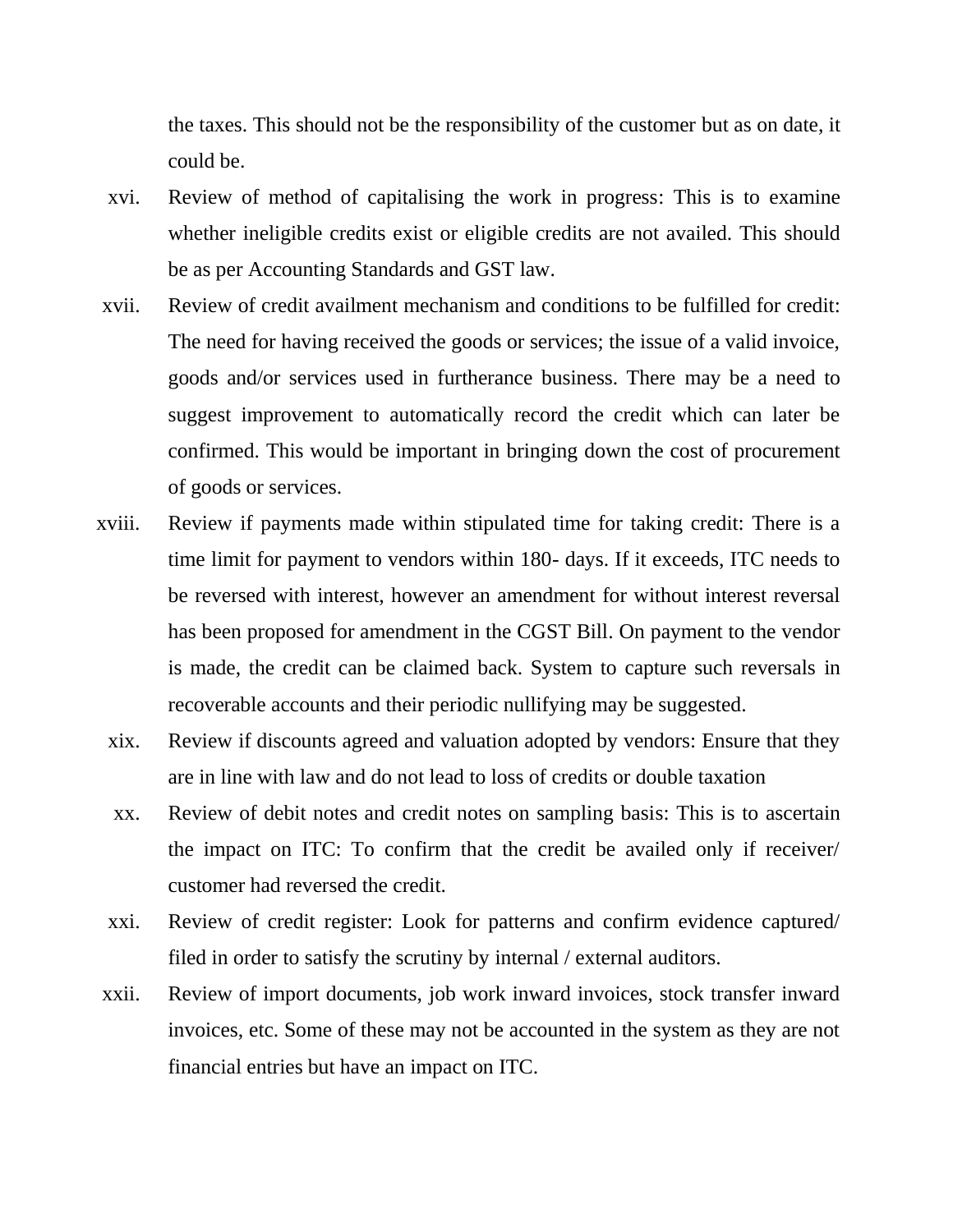the taxes. This should not be the responsibility of the customer but as on date, it could be.

- xvi. Review of method of capitalising the work in progress: This is to examine whether ineligible credits exist or eligible credits are not availed. This should be as per Accounting Standards and GST law.
- xvii. Review of credit availment mechanism and conditions to be fulfilled for credit: The need for having received the goods or services; the issue of a valid invoice, goods and/or services used in furtherance business. There may be a need to suggest improvement to automatically record the credit which can later be confirmed. This would be important in bringing down the cost of procurement of goods or services.
- xviii. Review if payments made within stipulated time for taking credit: There is a time limit for payment to vendors within 180- days. If it exceeds, ITC needs to be reversed with interest, however an amendment for without interest reversal has been proposed for amendment in the CGST Bill. On payment to the vendor is made, the credit can be claimed back. System to capture such reversals in recoverable accounts and their periodic nullifying may be suggested.
	- xix. Review if discounts agreed and valuation adopted by vendors: Ensure that they are in line with law and do not lead to loss of credits or double taxation
	- xx. Review of debit notes and credit notes on sampling basis: This is to ascertain the impact on ITC: To confirm that the credit be availed only if receiver/ customer had reversed the credit.
	- xxi. Review of credit register: Look for patterns and confirm evidence captured/ filed in order to satisfy the scrutiny by internal / external auditors.
- xxii. Review of import documents, job work inward invoices, stock transfer inward invoices, etc. Some of these may not be accounted in the system as they are not financial entries but have an impact on ITC.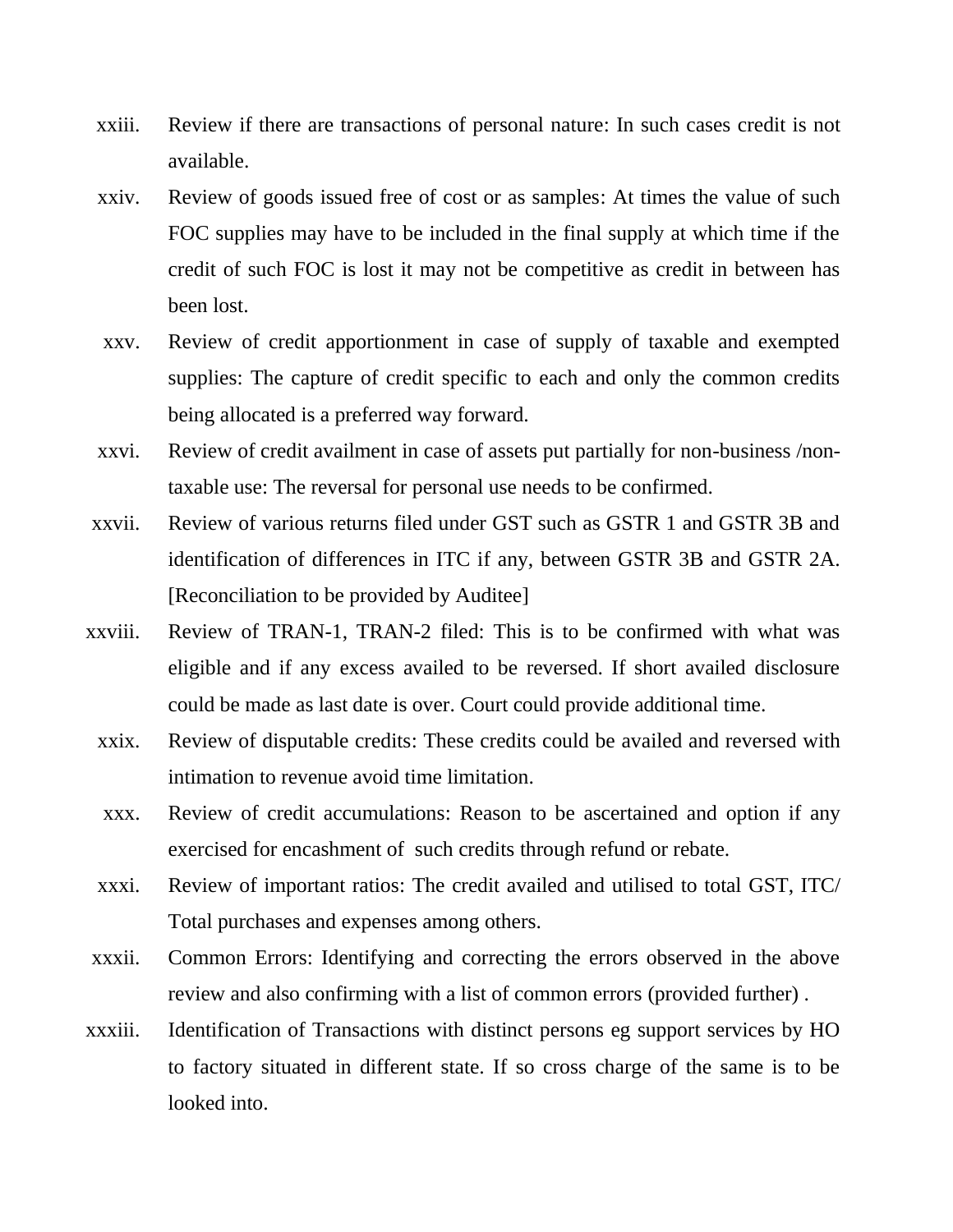- xxiii. Review if there are transactions of personal nature: In such cases credit is not available.
- xxiv. Review of goods issued free of cost or as samples: At times the value of such FOC supplies may have to be included in the final supply at which time if the credit of such FOC is lost it may not be competitive as credit in between has been lost.
- xxv. Review of credit apportionment in case of supply of taxable and exempted supplies: The capture of credit specific to each and only the common credits being allocated is a preferred way forward.
- xxvi. Review of credit availment in case of assets put partially for non-business /nontaxable use: The reversal for personal use needs to be confirmed.
- xxvii. Review of various returns filed under GST such as GSTR 1 and GSTR 3B and identification of differences in ITC if any, between GSTR 3B and GSTR 2A. [Reconciliation to be provided by Auditee]
- xxviii. Review of TRAN-1, TRAN-2 filed: This is to be confirmed with what was eligible and if any excess availed to be reversed. If short availed disclosure could be made as last date is over. Court could provide additional time.
	- xxix. Review of disputable credits: These credits could be availed and reversed with intimation to revenue avoid time limitation.
	- xxx. Review of credit accumulations: Reason to be ascertained and option if any exercised for encashment of such credits through refund or rebate.
	- xxxi. Review of important ratios: The credit availed and utilised to total GST, ITC/ Total purchases and expenses among others.
- xxxii. Common Errors: Identifying and correcting the errors observed in the above review and also confirming with a list of common errors (provided further) .
- xxxiii. Identification of Transactions with distinct persons eg support services by HO to factory situated in different state. If so cross charge of the same is to be looked into.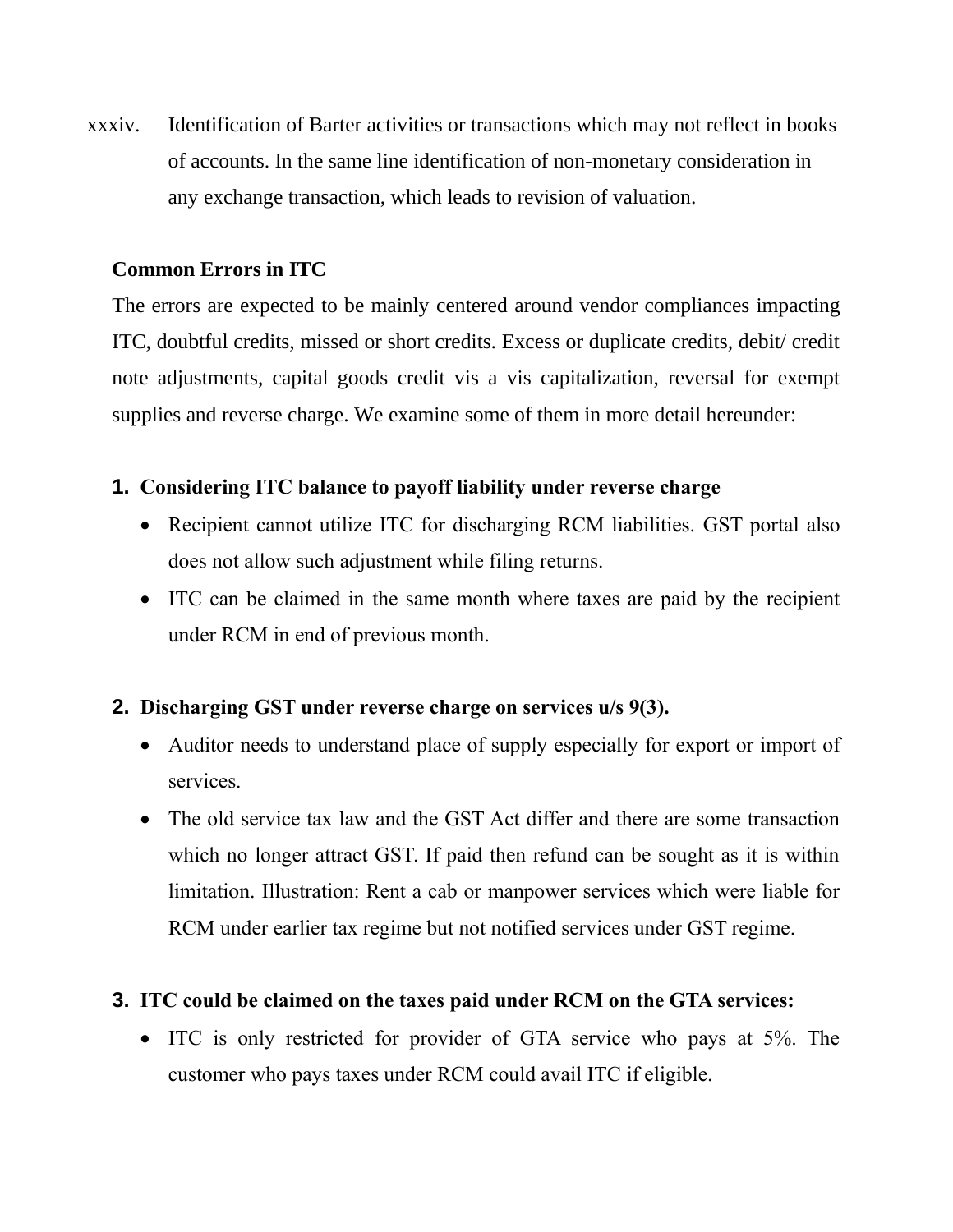xxxiv. Identification of Barter activities or transactions which may not reflect in books of accounts. In the same line identification of non-monetary consideration in any exchange transaction, which leads to revision of valuation.

#### **Common Errors in ITC**

The errors are expected to be mainly centered around vendor compliances impacting ITC, doubtful credits, missed or short credits. Excess or duplicate credits, debit/ credit note adjustments, capital goods credit vis a vis capitalization, reversal for exempt supplies and reverse charge. We examine some of them in more detail hereunder:

#### **1. Considering ITC balance to payoff liability under reverse charge**

- Recipient cannot utilize ITC for discharging RCM liabilities. GST portal also does not allow such adjustment while filing returns.
- ITC can be claimed in the same month where taxes are paid by the recipient under RCM in end of previous month.

### **2. Discharging GST under reverse charge on services u/s 9(3).**

- Auditor needs to understand place of supply especially for export or import of services.
- The old service tax law and the GST Act differ and there are some transaction which no longer attract GST. If paid then refund can be sought as it is within limitation. Illustration: Rent a cab or manpower services which were liable for RCM under earlier tax regime but not notified services under GST regime.

### **3. ITC could be claimed on the taxes paid under RCM on the GTA services:**

• ITC is only restricted for provider of GTA service who pays at 5%. The customer who pays taxes under RCM could avail ITC if eligible.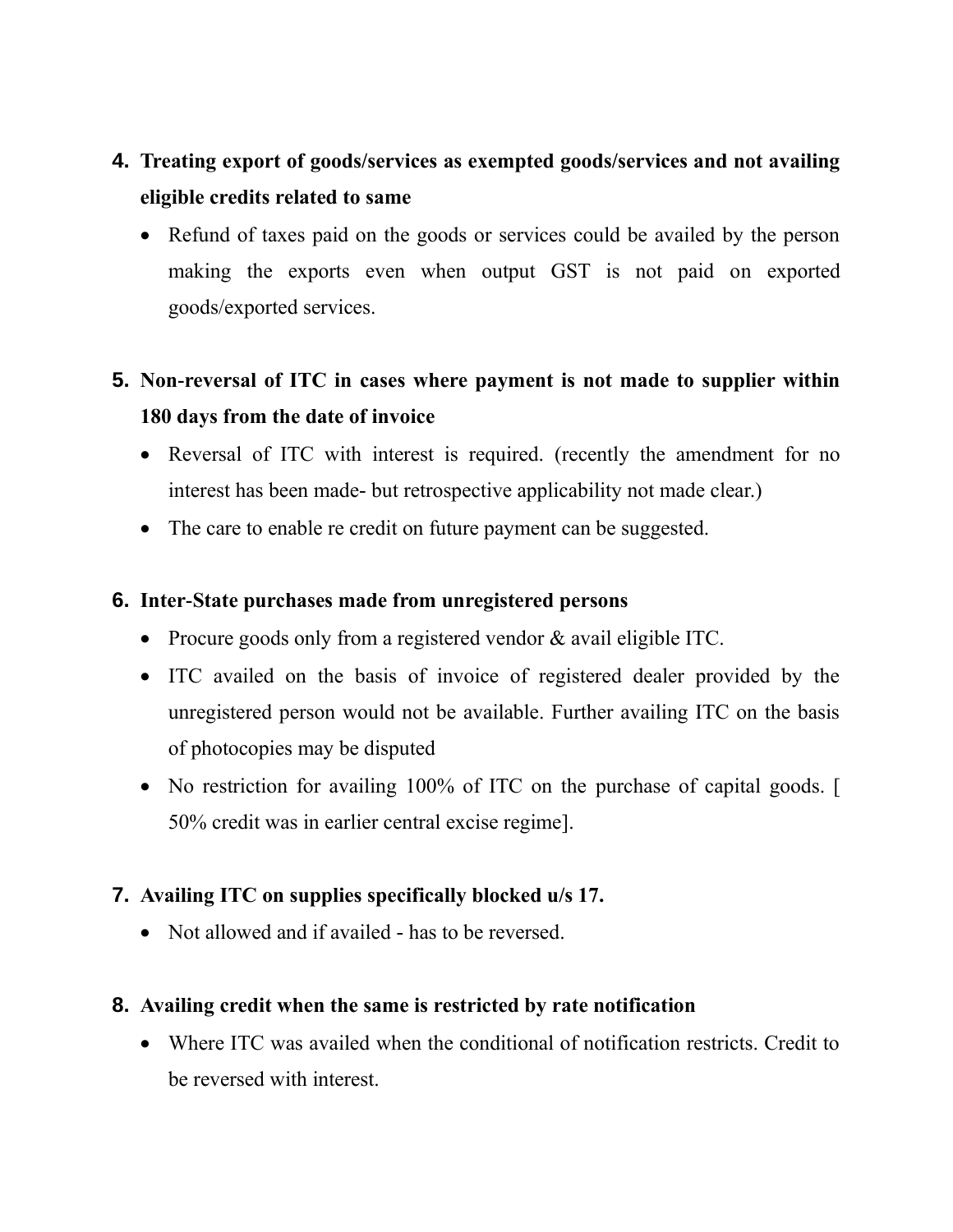# **4. Treating export of goods/services as exempted goods/services and not availing eligible credits related to same**

• Refund of taxes paid on the goods or services could be availed by the person making the exports even when output GST is not paid on exported goods/exported services.

# **5. Non-reversal of ITC in cases where payment is not made to supplier within 180 days from the date of invoice**

- Reversal of ITC with interest is required. (recently the amendment for no interest has been made- but retrospective applicability not made clear.)
- The care to enable re credit on future payment can be suggested.

#### **6. Inter-State purchases made from unregistered persons**

- Procure goods only from a registered vendor & avail eligible ITC.
- ITC availed on the basis of invoice of registered dealer provided by the unregistered person would not be available. Further availing ITC on the basis of photocopies may be disputed
- No restriction for availing 100% of ITC on the purchase of capital goods. [ 50% credit was in earlier central excise regime].

### **7. Availing ITC on supplies specifically blocked u/s 17.**

• Not allowed and if availed - has to be reversed.

### **8. Availing credit when the same is restricted by rate notification**

• Where ITC was availed when the conditional of notification restricts. Credit to be reversed with interest.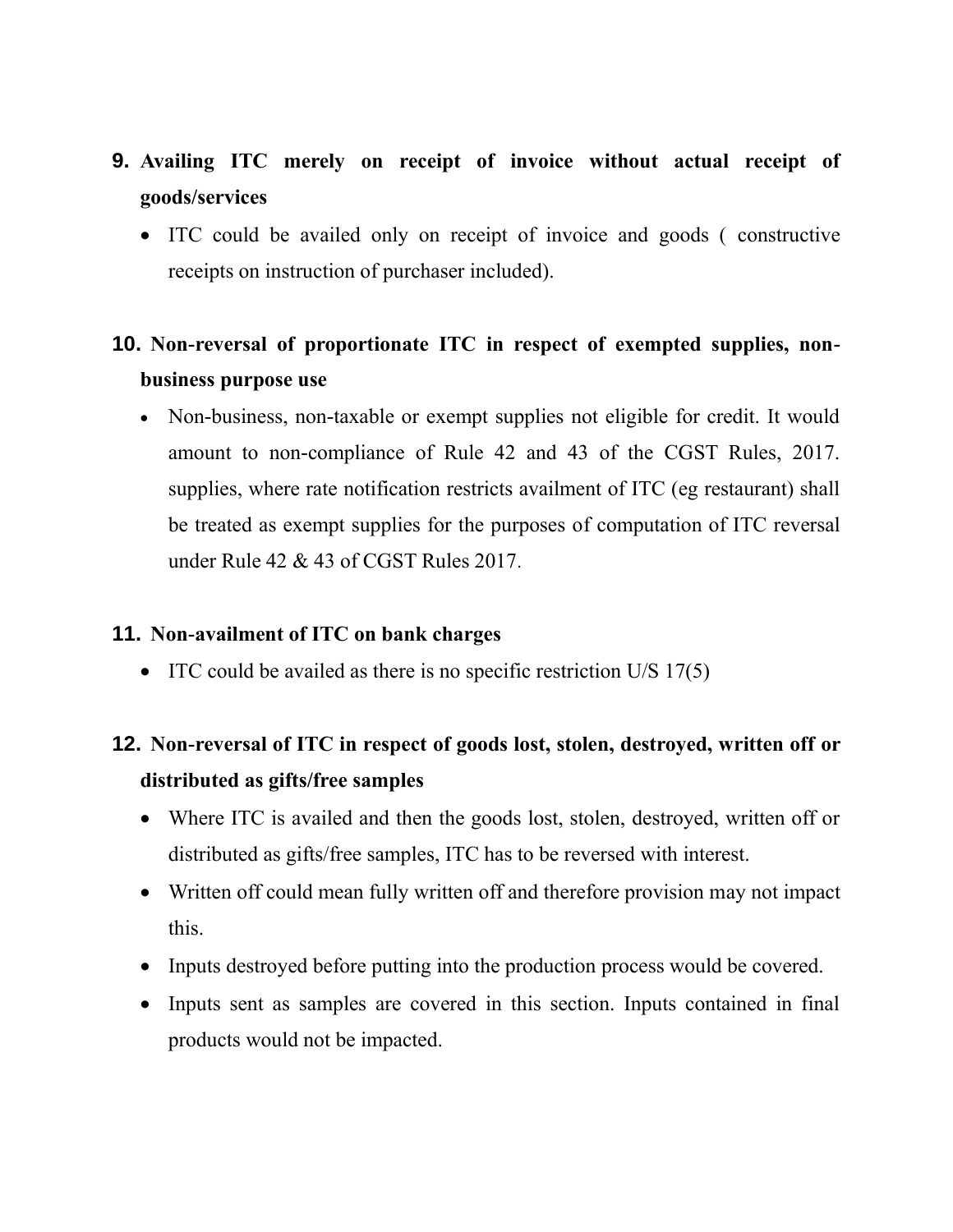# **9. Availing ITC merely on receipt of invoice without actual receipt of goods/services**

• ITC could be availed only on receipt of invoice and goods ( constructive receipts on instruction of purchaser included).

### **10. Non-reversal of proportionate ITC in respect of exempted supplies, nonbusiness purpose use**

• Non-business, non-taxable or exempt supplies not eligible for credit. It would amount to non-compliance of Rule 42 and 43 of the CGST Rules, 2017. supplies, where rate notification restricts availment of ITC (eg restaurant) shall be treated as exempt supplies for the purposes of computation of ITC reversal under Rule 42 & 43 of CGST Rules 2017.

#### **11. Non-availment of ITC on bank charges**

• ITC could be availed as there is no specific restriction U/S 17(5)

### **12. Non-reversal of ITC in respect of goods lost, stolen, destroyed, written off or distributed as gifts/free samples**

- Where ITC is availed and then the goods lost, stolen, destroyed, written off or distributed as gifts/free samples, ITC has to be reversed with interest.
- Written off could mean fully written off and therefore provision may not impact this.
- Inputs destroyed before putting into the production process would be covered.
- Inputs sent as samples are covered in this section. Inputs contained in final products would not be impacted.